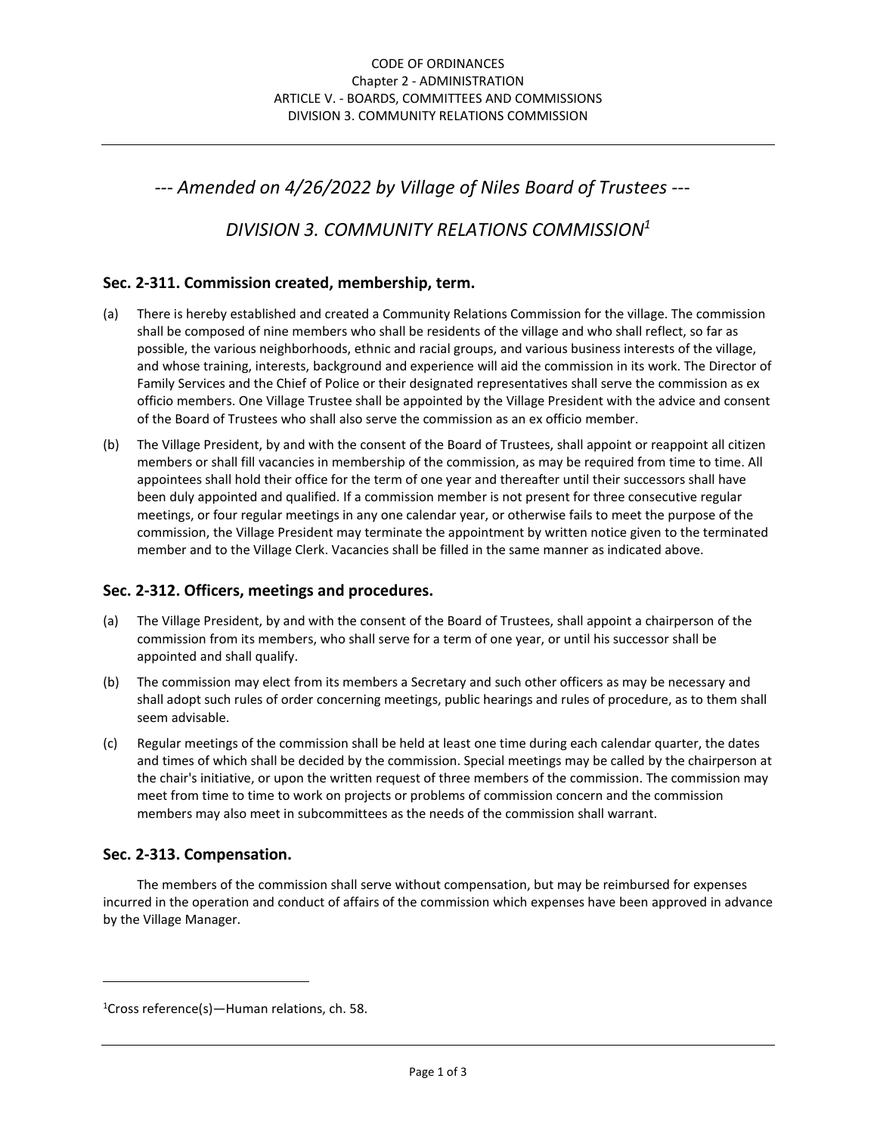*--- Amended on 4/26/2022 by Village of Niles Board of Trustees ---* 

*DIVISION 3. COMMUNITY RELATIONS COMMISSION<sup>1</sup>*

# **Sec. 2-311. Commission created, membership, term.**

- (a) There is hereby established and created a Community Relations Commission for the village. The commission shall be composed of nine members who shall be residents of the village and who shall reflect, so far as possible, the various neighborhoods, ethnic and racial groups, and various business interests of the village, and whose training, interests, background and experience will aid the commission in its work. The Director of Family Services and the Chief of Police or their designated representatives shall serve the commission as ex officio members. One Village Trustee shall be appointed by the Village President with the advice and consent of the Board of Trustees who shall also serve the commission as an ex officio member.
- (b) The Village President, by and with the consent of the Board of Trustees, shall appoint or reappoint all citizen members or shall fill vacancies in membership of the commission, as may be required from time to time. All appointees shall hold their office for the term of one year and thereafter until their successors shall have been duly appointed and qualified. If a commission member is not present for three consecutive regular meetings, or four regular meetings in any one calendar year, or otherwise fails to meet the purpose of the commission, the Village President may terminate the appointment by written notice given to the terminated member and to the Village Clerk. Vacancies shall be filled in the same manner as indicated above.

#### **Sec. 2-312. Officers, meetings and procedures.**

- (a) The Village President, by and with the consent of the Board of Trustees, shall appoint a chairperson of the commission from its members, who shall serve for a term of one year, or until his successor shall be appointed and shall qualify.
- (b) The commission may elect from its members a Secretary and such other officers as may be necessary and shall adopt such rules of order concerning meetings, public hearings and rules of procedure, as to them shall seem advisable.
- (c) Regular meetings of the commission shall be held at least one time during each calendar quarter, the dates and times of which shall be decided by the commission. Special meetings may be called by the chairperson at the chair's initiative, or upon the written request of three members of the commission. The commission may meet from time to time to work on projects or problems of commission concern and the commission members may also meet in subcommittees as the needs of the commission shall warrant.

#### **Sec. 2-313. Compensation.**

 $\overline{a}$ 

The members of the commission shall serve without compensation, but may be reimbursed for expenses incurred in the operation and conduct of affairs of the commission which expenses have been approved in advance by the Village Manager.

 $1$ Cross reference(s)—Human relations, ch. 58.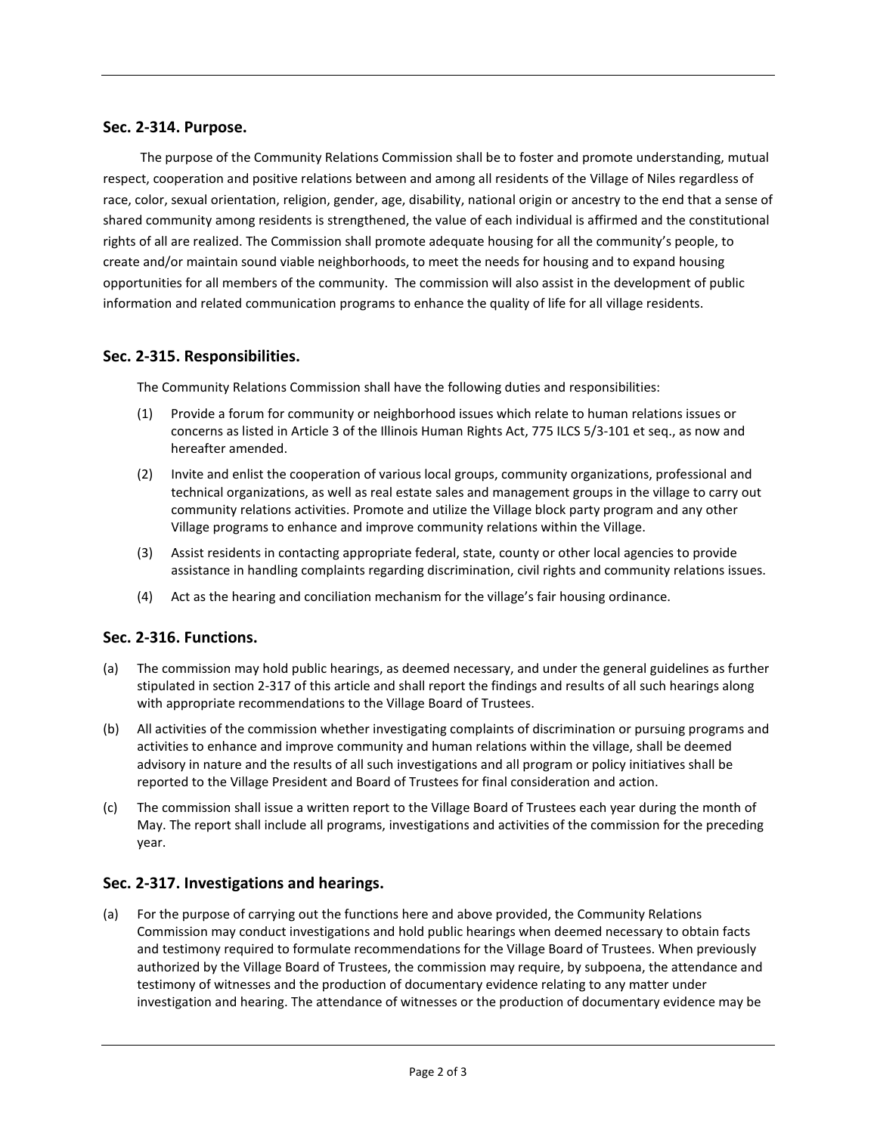### **Sec. 2-314. Purpose.**

 The purpose of the Community Relations Commission shall be to foster and promote understanding, mutual respect, cooperation and positive relations between and among all residents of the Village of Niles regardless of race, color, sexual orientation, religion, gender, age, disability, national origin or ancestry to the end that a sense of shared community among residents is strengthened, the value of each individual is affirmed and the constitutional rights of all are realized. The Commission shall promote adequate housing for all the community's people, to create and/or maintain sound viable neighborhoods, to meet the needs for housing and to expand housing opportunities for all members of the community. The commission will also assist in the development of public information and related communication programs to enhance the quality of life for all village residents.

#### **Sec. 2-315. Responsibilities.**

The Community Relations Commission shall have the following duties and responsibilities:

- (1) Provide a forum for community or neighborhood issues which relate to human relations issues or concerns as listed in Article 3 of the Illinois Human Rights Act, 775 ILCS 5/3-101 et seq., as now and hereafter amended.
- (2) Invite and enlist the cooperation of various local groups, community organizations, professional and technical organizations, as well as real estate sales and management groups in the village to carry out community relations activities. Promote and utilize the Village block party program and any other Village programs to enhance and improve community relations within the Village.
- (3) Assist residents in contacting appropriate federal, state, county or other local agencies to provide assistance in handling complaints regarding discrimination, civil rights and community relations issues.
- (4) Act as the hearing and conciliation mechanism for the village's fair housing ordinance.

#### **Sec. 2-316. Functions.**

- (a) The commission may hold public hearings, as deemed necessary, and under the general guidelines as further stipulated in section 2-317 of this article and shall report the findings and results of all such hearings along with appropriate recommendations to the Village Board of Trustees.
- (b) All activities of the commission whether investigating complaints of discrimination or pursuing programs and activities to enhance and improve community and human relations within the village, shall be deemed advisory in nature and the results of all such investigations and all program or policy initiatives shall be reported to the Village President and Board of Trustees for final consideration and action.
- (c) The commission shall issue a written report to the Village Board of Trustees each year during the month of May. The report shall include all programs, investigations and activities of the commission for the preceding year.

#### **Sec. 2-317. Investigations and hearings.**

(a) For the purpose of carrying out the functions here and above provided, the Community Relations Commission may conduct investigations and hold public hearings when deemed necessary to obtain facts and testimony required to formulate recommendations for the Village Board of Trustees. When previously authorized by the Village Board of Trustees, the commission may require, by subpoena, the attendance and testimony of witnesses and the production of documentary evidence relating to any matter under investigation and hearing. The attendance of witnesses or the production of documentary evidence may be